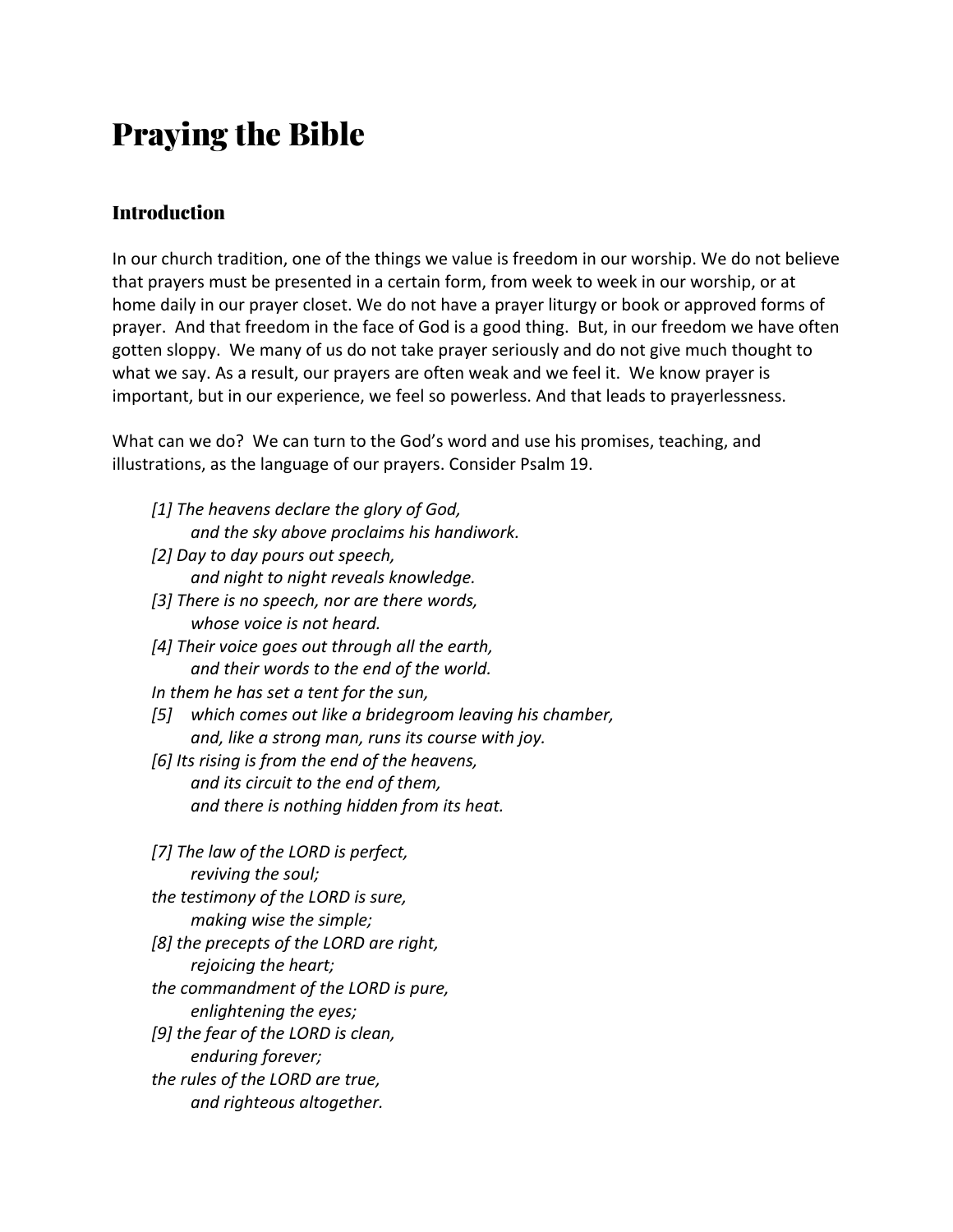# Praying the Bible

### **Introduction**

In our church tradition, one of the things we value is freedom in our worship. We do not believe that prayers must be presented in a certain form, from week to week in our worship, or at home daily in our prayer closet. We do not have a prayer liturgy or book or approved forms of prayer. And that freedom in the face of God is a good thing. But, in our freedom we have often gotten sloppy. We many of us do not take prayer seriously and do not give much thought to what we say. As a result, our prayers are often weak and we feel it. We know prayer is important, but in our experience, we feel so powerless. And that leads to prayerlessness.

What can we do? We can turn to the God's word and use his promises, teaching, and illustrations, as the language of our prayers. Consider Psalm 19.

- *[1] The heavens declare the glory of God, and the sky above proclaims his handiwork.*
- *[2] Day to day pours out speech, and night to night reveals knowledge.*
- *[3] There is no speech, nor are there words, whose voice is not heard.*
- *[4] Their voice goes out through all the earth, and their words to the end of the world.*
- *In them he has set a tent for the sun,*
- *[5] which comes out like a bridegroom leaving his chamber, and, like a strong man, runs its course with joy.*
- *[6] Its rising is from the end of the heavens, and its circuit to the end of them, and there is nothing hidden from its heat.*

*[7] The law of the LORD is perfect, reviving the soul; the testimony of the LORD is sure, making wise the simple; [8] the precepts of the LORD are right, rejoicing the heart; the commandment of the LORD is pure, enlightening the eyes; [9] the fear of the LORD is clean, enduring forever; the rules of the LORD are true, and righteous altogether.*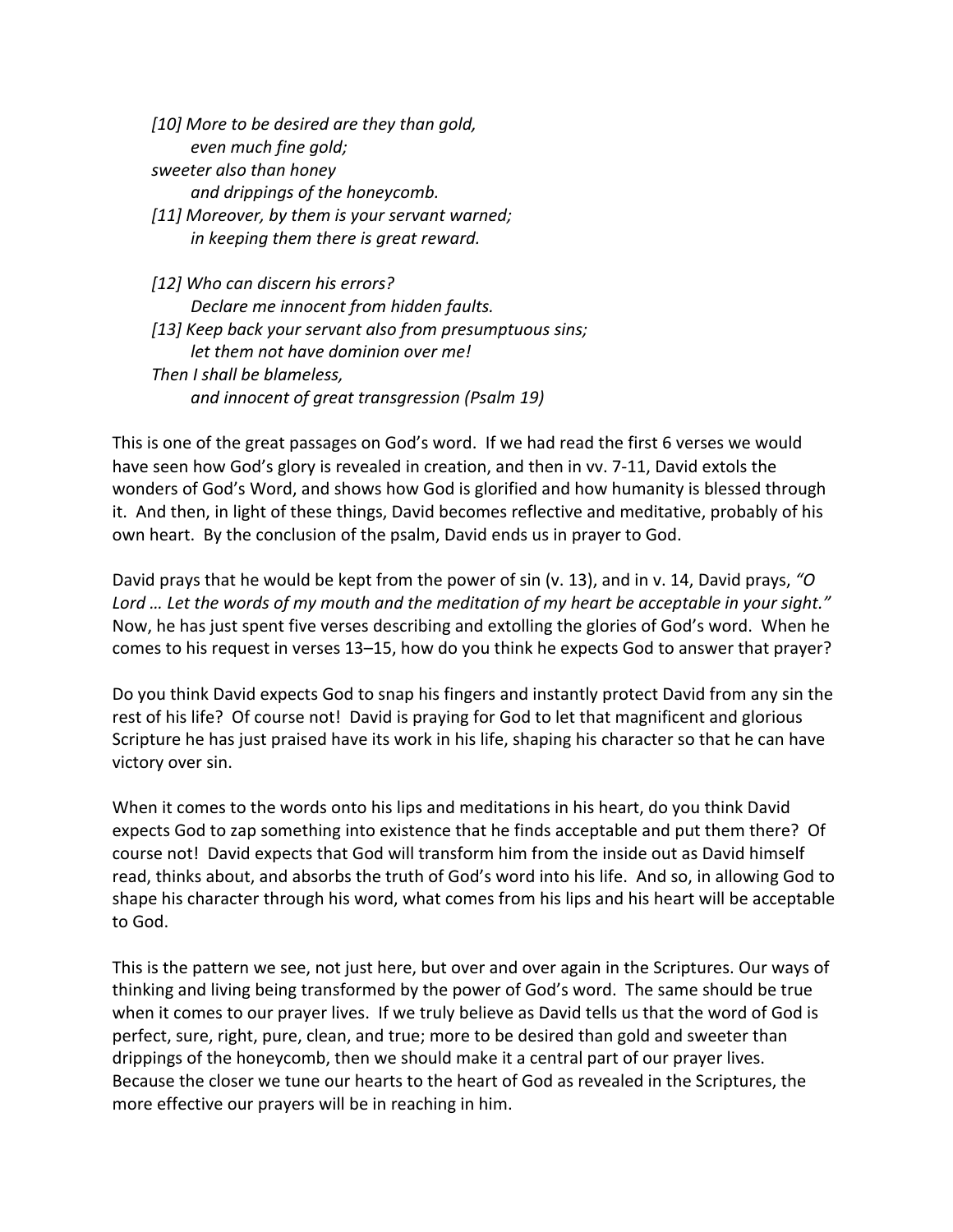*[10] More to be desired are they than gold, even much fine gold; sweeter also than honey and drippings of the honeycomb. [11] Moreover, by them is your servant warned; in keeping them there is great reward. [12] Who can discern his errors? Declare me innocent from hidden faults. [13] Keep back your servant also from presumptuous sins;*

*let them not have dominion over me! Then I shall be blameless, and innocent of great transgression (Psalm 19)*

This is one of the great passages on God's word. If we had read the first 6 verses we would have seen how God's glory is revealed in creation, and then in vv. 7-11, David extols the wonders of God's Word, and shows how God is glorified and how humanity is blessed through it. And then, in light of these things, David becomes reflective and meditative, probably of his own heart. By the conclusion of the psalm, David ends us in prayer to God.

David prays that he would be kept from the power of sin (v. 13), and in v. 14, David prays, *"O Lord … Let the words of my mouth and the meditation of my heart be acceptable in your sight."* Now, he has just spent five verses describing and extolling the glories of God's word. When he comes to his request in verses 13–15, how do you think he expects God to answer that prayer?

Do you think David expects God to snap his fingers and instantly protect David from any sin the rest of his life? Of course not!David is praying for God to let that magnificent and glorious Scripture he has just praised have its work in his life, shaping his character so that he can have victory over sin.

When it comes to the words onto his lips and meditations in his heart, do you think David expects God to zap something into existence that he finds acceptable and put them there? Of course not! David expects that God will transform him from the inside out as David himself read, thinks about, and absorbs the truth of God's word into his life. And so, in allowing God to shape his character through his word, what comes from his lips and his heart will be acceptable to God.

This is the pattern we see, not just here, but over and over again in the Scriptures. Our ways of thinking and living being transformed by the power of God's word. The same should be true when it comes to our prayer lives. If we truly believe as David tells us that the word of God is perfect, sure, right, pure, clean, and true; more to be desired than gold and sweeter than drippings of the honeycomb, then we should make it a central part of our prayer lives. Because the closer we tune our hearts to the heart of God as revealed in the Scriptures, the more effective our prayers will be in reaching in him.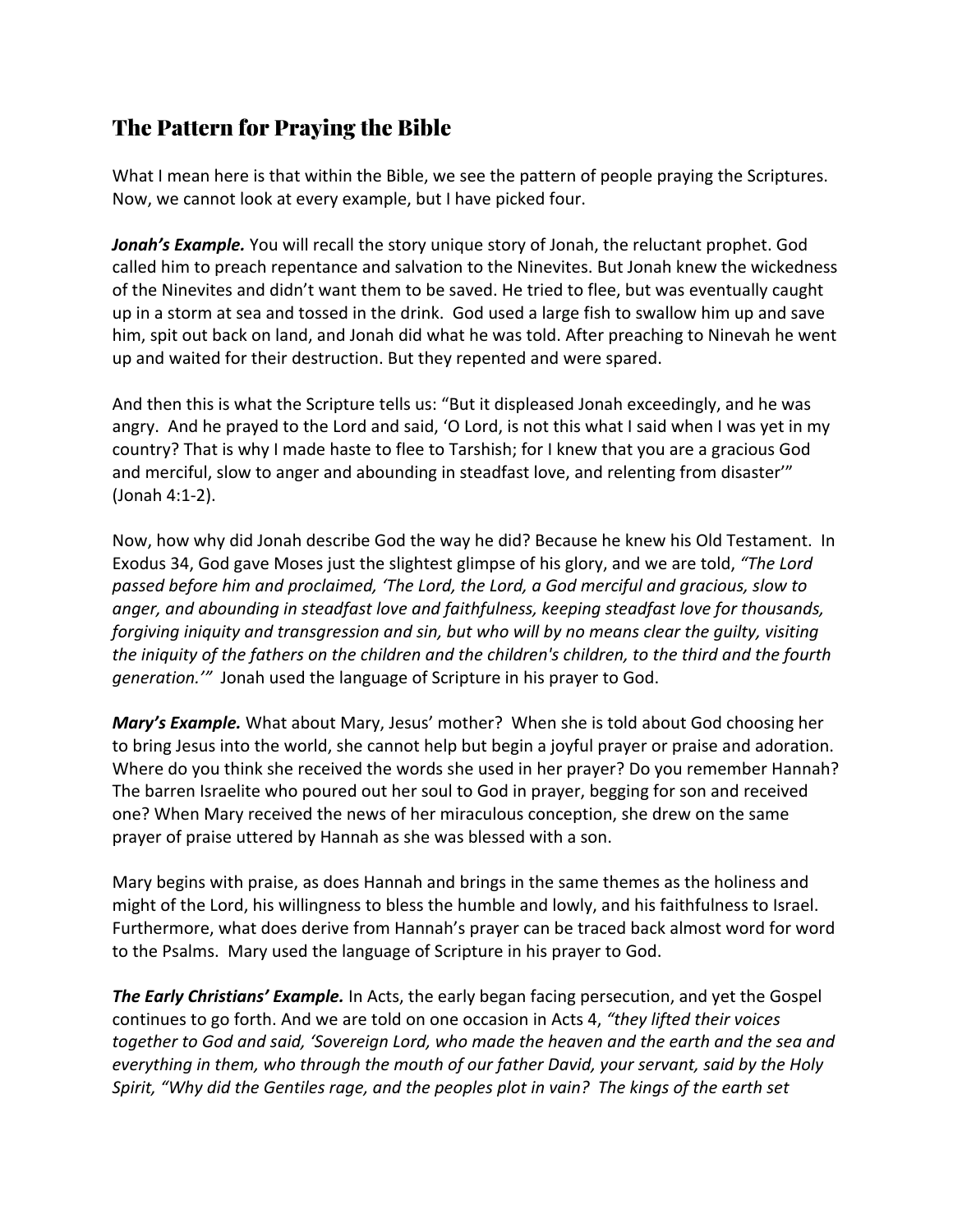# The Pattern for Praying the Bible

What I mean here is that within the Bible, we see the pattern of people praying the Scriptures. Now, we cannot look at every example, but I have picked four.

*Jonah's Example.* You will recall the story unique story of Jonah, the reluctant prophet. God called him to preach repentance and salvation to the Ninevites. But Jonah knew the wickedness of the Ninevites and didn't want them to be saved. He tried to flee, but was eventually caught up in a storm at sea and tossed in the drink. God used a large fish to swallow him up and save him, spit out back on land, and Jonah did what he was told. After preaching to Ninevah he went up and waited for their destruction. But they repented and were spared.

And then this is what the Scripture tells us: "But it displeased Jonah exceedingly, and he was angry. And he prayed to the Lord and said, 'O Lord, is not this what I said when I was yet in my country? That is why I made haste to flee to Tarshish; for I knew that you are a gracious God and merciful, slow to anger and abounding in steadfast love, and relenting from disaster'" (Jonah 4:1-2).

Now, how why did Jonah describe God the way he did? Because he knew his Old Testament. In Exodus 34, God gave Moses just the slightest glimpse of his glory, and we are told, *"The Lord passed before him and proclaimed, 'The Lord, the Lord, a God merciful and gracious, slow to anger, and abounding in steadfast love and faithfulness, keeping steadfast love for thousands, forgiving iniquity and transgression and sin, but who will by no means clear the guilty, visiting the iniquity of the fathers on the children and the children's children, to the third and the fourth generation.'"* Jonah used the language of Scripture in his prayer to God.

*Mary's Example.* What about Mary, Jesus' mother? When she is told about God choosing her to bring Jesus into the world, she cannot help but begin a joyful prayer or praise and adoration. Where do you think she received the words she used in her prayer? Do you remember Hannah? The barren Israelite who poured out her soul to God in prayer, begging for son and received one? When Mary received the news of her miraculous conception, she drew on the same prayer of praise uttered by Hannah as she was blessed with a son.

Mary begins with praise, as does Hannah and brings in the same themes as the holiness and might of the Lord, his willingness to bless the humble and lowly, and his faithfulness to Israel. Furthermore, what does derive from Hannah's prayer can be traced back almost word for word to the Psalms. Mary used the language of Scripture in his prayer to God.

*The Early Christians' Example.* In Acts, the early began facing persecution, and yet the Gospel continues to go forth. And we are told on one occasion in Acts 4, *"they lifted their voices together to God and said, 'Sovereign Lord, who made the heaven and the earth and the sea and everything in them, who through the mouth of our father David, your servant, said by the Holy Spirit, "Why did the Gentiles rage, and the peoples plot in vain? The kings of the earth set*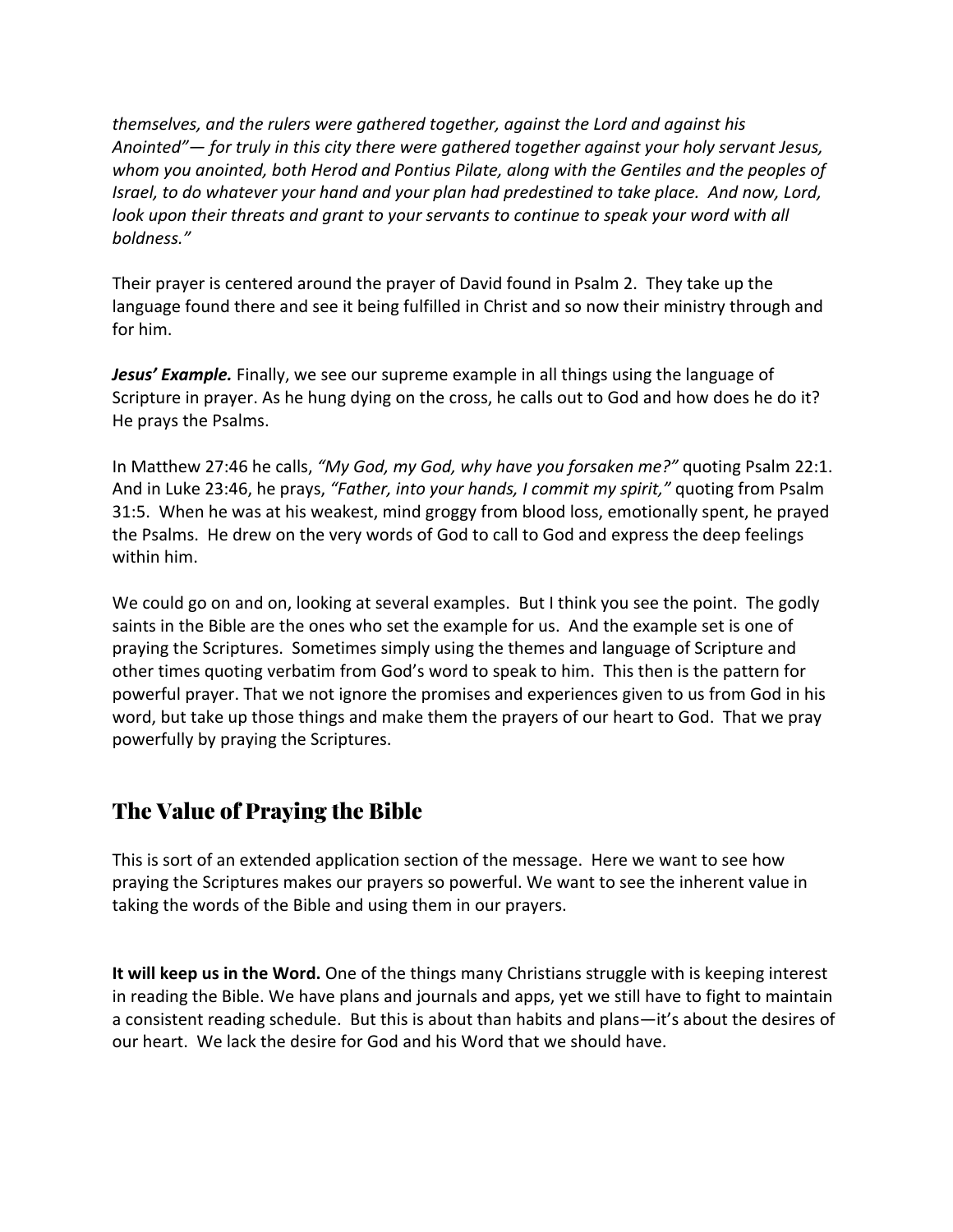*themselves, and the rulers were gathered together, against the Lord and against his Anointed"— for truly in this city there were gathered together against your holy servant Jesus, whom you anointed, both Herod and Pontius Pilate, along with the Gentiles and the peoples of Israel, to do whatever your hand and your plan had predestined to take place. And now, Lord, look upon their threats and grant to your servants to continue to speak your word with all boldness."* 

Their prayer is centered around the prayer of David found in Psalm 2. They take up the language found there and see it being fulfilled in Christ and so now their ministry through and for him.

*Jesus' Example.* Finally, we see our supreme example in all things using the language of Scripture in prayer. As he hung dying on the cross, he calls out to God and how does he do it? He prays the Psalms.

In Matthew 27:46 he calls, *"My God, my God, why have you forsaken me?"* quoting Psalm 22:1. And in Luke 23:46, he prays, *"Father, into your hands, I commit my spirit,"* quoting from Psalm 31:5. When he was at his weakest, mind groggy from blood loss, emotionally spent, he prayed the Psalms. He drew on the very words of God to call to God and express the deep feelings within him.

We could go on and on, looking at several examples. But I think you see the point. The godly saints in the Bible are the ones who set the example for us. And the example set is one of praying the Scriptures. Sometimes simply using the themes and language of Scripture and other times quoting verbatim from God's word to speak to him. This then is the pattern for powerful prayer. That we not ignore the promises and experiences given to us from God in his word, but take up those things and make them the prayers of our heart to God. That we pray powerfully by praying the Scriptures.

## The Value of Praying the Bible

This is sort of an extended application section of the message. Here we want to see how praying the Scriptures makes our prayers so powerful. We want to see the inherent value in taking the words of the Bible and using them in our prayers.

**It will keep us in the Word.** One of the things many Christians struggle with is keeping interest in reading the Bible. We have plans and journals and apps, yet we still have to fight to maintain a consistent reading schedule. But this is about than habits and plans—it's about the desires of our heart. We lack the desire for God and his Word that we should have.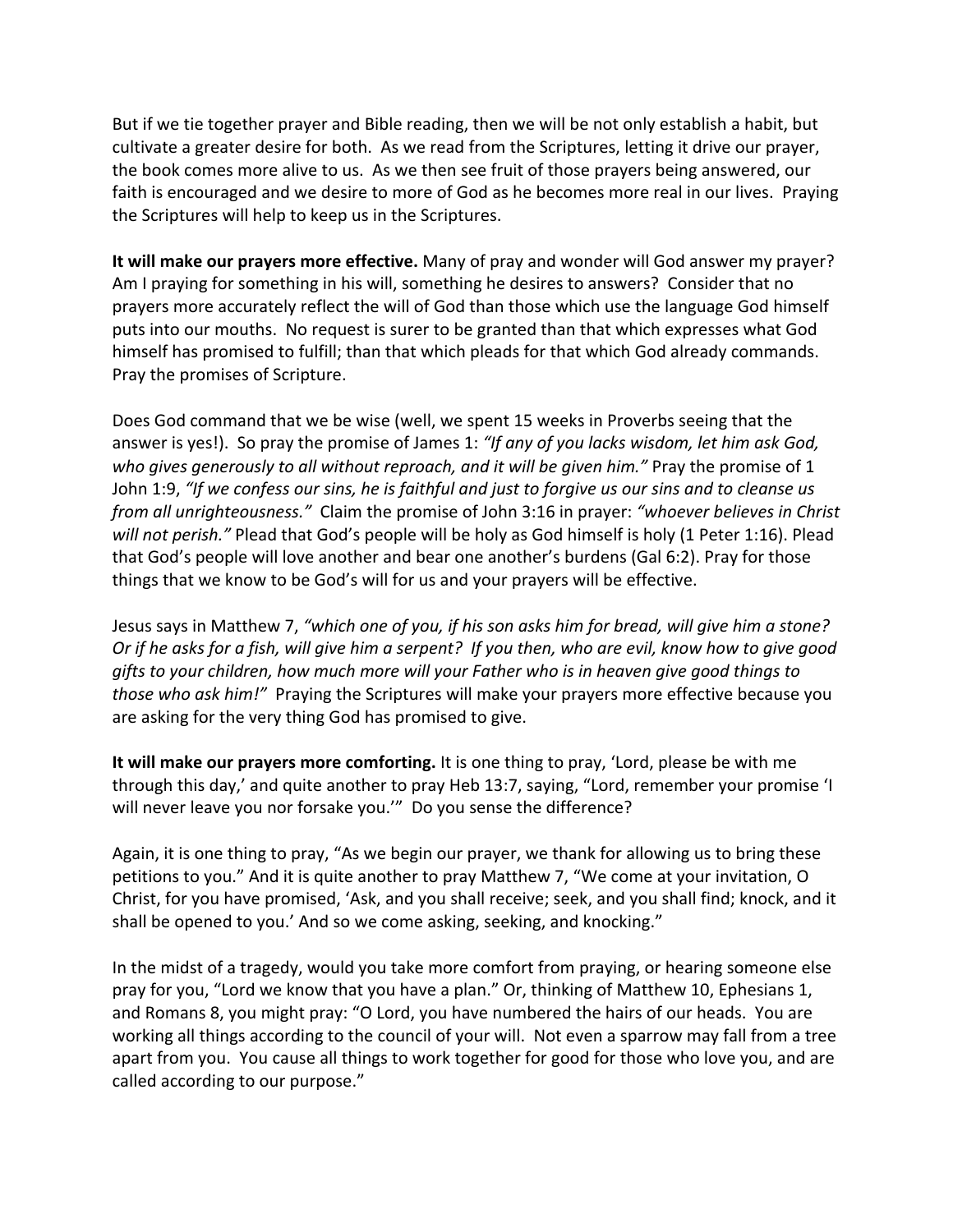But if we tie together prayer and Bible reading, then we will be not only establish a habit, but cultivate a greater desire for both. As we read from the Scriptures, letting it drive our prayer, the book comes more alive to us. As we then see fruit of those prayers being answered, our faith is encouraged and we desire to more of God as he becomes more real in our lives. Praying the Scriptures will help to keep us in the Scriptures.

**It will make our prayers more effective.** Many of pray and wonder will God answer my prayer? Am I praying for something in his will, something he desires to answers? Consider that no prayers more accurately reflect the will of God than those which use the language God himself puts into our mouths. No request is surer to be granted than that which expresses what God himself has promised to fulfill; than that which pleads for that which God already commands. Pray the promises of Scripture.

Does God command that we be wise (well, we spent 15 weeks in Proverbs seeing that the answer is yes!). So pray the promise of James 1: *"If any of you lacks wisdom, let him ask God, who gives generously to all without reproach, and it will be given him."* Pray the promise of 1 John 1:9, *"If we confess our sins, he is faithful and just to forgive us our sins and to cleanse us from all unrighteousness."* Claim the promise of John 3:16 in prayer: *"whoever believes in Christ will not perish."* Plead that God's people will be holy as God himself is holy (1 Peter 1:16). Plead that God's people will love another and bear one another's burdens (Gal 6:2). Pray for those things that we know to be God's will for us and your prayers will be effective.

Jesus says in Matthew 7, *"which one of you, if his son asks him for bread, will give him a stone? Or if he asks for a fish, will give him a serpent? If you then, who are evil, know how to give good gifts to your children, how much more will your Father who is in heaven give good things to those who ask him!"* Praying the Scriptures will make your prayers more effective because you are asking for the very thing God has promised to give.

**It will make our prayers more comforting.** It is one thing to pray, 'Lord, please be with me through this day,' and quite another to pray Heb 13:7, saying, "Lord, remember your promise 'I will never leave you nor forsake you.'" Do you sense the difference?

Again, it is one thing to pray, "As we begin our prayer, we thank for allowing us to bring these petitions to you." And it is quite another to pray Matthew 7, "We come at your invitation, O Christ, for you have promised, 'Ask, and you shall receive; seek, and you shall find; knock, and it shall be opened to you.' And so we come asking, seeking, and knocking."

In the midst of a tragedy, would you take more comfort from praying, or hearing someone else pray for you, "Lord we know that you have a plan." Or, thinking of Matthew 10, Ephesians 1, and Romans 8, you might pray: "O Lord, you have numbered the hairs of our heads. You are working all things according to the council of your will. Not even a sparrow may fall from a tree apart from you. You cause all things to work together for good for those who love you, and are called according to our purpose."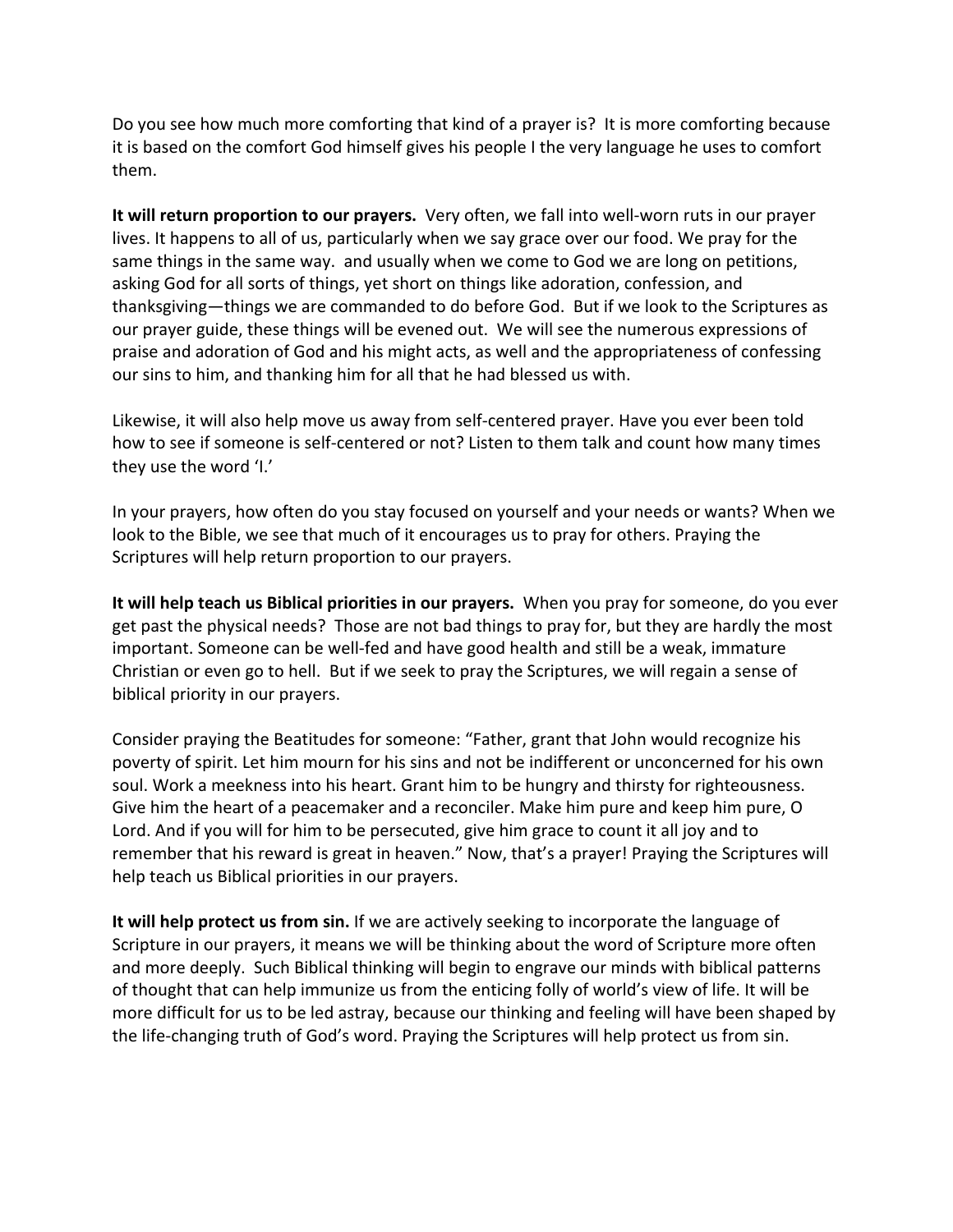Do you see how much more comforting that kind of a prayer is? It is more comforting because it is based on the comfort God himself gives his people I the very language he uses to comfort them.

**It will return proportion to our prayers.** Very often, we fall into well-worn ruts in our prayer lives. It happens to all of us, particularly when we say grace over our food. We pray for the same things in the same way. and usually when we come to God we are long on petitions, asking God for all sorts of things, yet short on things like adoration, confession, and thanksgiving—things we are commanded to do before God. But if we look to the Scriptures as our prayer guide, these things will be evened out. We will see the numerous expressions of praise and adoration of God and his might acts, as well and the appropriateness of confessing our sins to him, and thanking him for all that he had blessed us with.

Likewise, it will also help move us away from self-centered prayer. Have you ever been told how to see if someone is self-centered or not? Listen to them talk and count how many times they use the word 'I.'

In your prayers, how often do you stay focused on yourself and your needs or wants? When we look to the Bible, we see that much of it encourages us to pray for others. Praying the Scriptures will help return proportion to our prayers.

**It will help teach us Biblical priorities in our prayers.** When you pray for someone, do you ever get past the physical needs? Those are not bad things to pray for, but they are hardly the most important. Someone can be well-fed and have good health and still be a weak, immature Christian or even go to hell. But if we seek to pray the Scriptures, we will regain a sense of biblical priority in our prayers.

Consider praying the Beatitudes for someone: "Father, grant that John would recognize his poverty of spirit. Let him mourn for his sins and not be indifferent or unconcerned for his own soul. Work a meekness into his heart. Grant him to be hungry and thirsty for righteousness. Give him the heart of a peacemaker and a reconciler. Make him pure and keep him pure, O Lord. And if you will for him to be persecuted, give him grace to count it all joy and to remember that his reward is great in heaven." Now, that's a prayer! Praying the Scriptures will help teach us Biblical priorities in our prayers.

**It will help protect us from sin.** If we are actively seeking to incorporate the language of Scripture in our prayers, it means we will be thinking about the word of Scripture more often and more deeply. Such Biblical thinking will begin to engrave our minds with biblical patterns of thought that can help immunize us from the enticing folly of world's view of life. It will be more difficult for us to be led astray, because our thinking and feeling will have been shaped by the life-changing truth of God's word. Praying the Scriptures will help protect us from sin.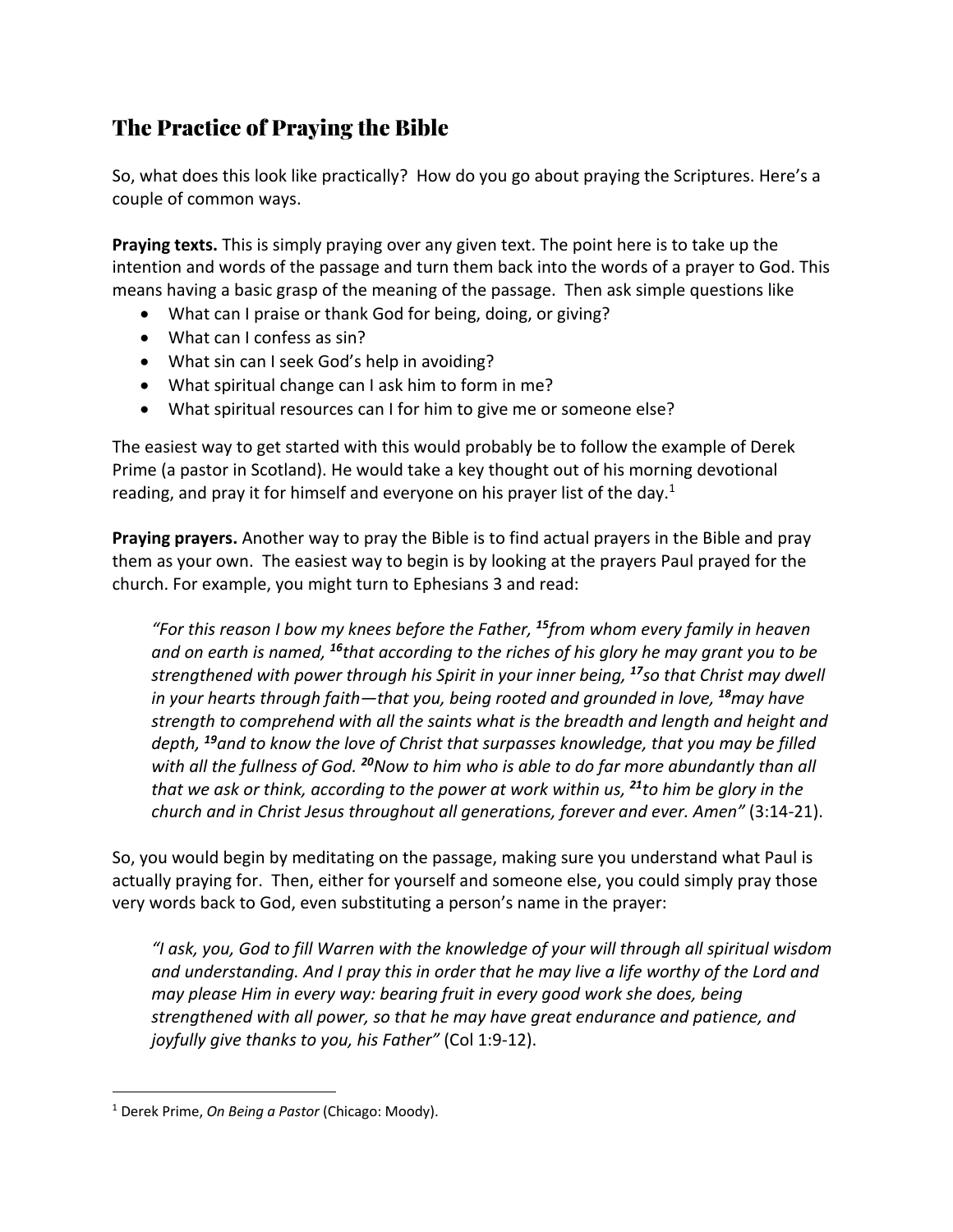# The Practice of Praying the Bible

So, what does this look like practically? How do you go about praying the Scriptures. Here's a couple of common ways.

**Praying texts.** This is simply praying over any given text. The point here is to take up the intention and words of the passage and turn them back into the words of a prayer to God. This means having a basic grasp of the meaning of the passage. Then ask simple questions like

- What can I praise or thank God for being, doing, or giving?
- What can I confess as sin?
- What sin can I seek God's help in avoiding?
- What spiritual change can I ask him to form in me?
- What spiritual resources can I for him to give me or someone else?

The easiest way to get started with this would probably be to follow the example of Derek Prime (a pastor in Scotland). He would take a key thought out of his morning devotional reading, and pray it for himself and everyone on his prayer list of the day.<sup>1</sup>

**Praying prayers.** Another way to pray the Bible is to find actual prayers in the Bible and pray them as your own. The easiest way to begin is by looking at the prayers Paul prayed for the church. For example, you might turn to Ephesians 3 and read:

*"For this reason I bow my knees before the Father, <sup>15</sup>from whom every family in heaven and on earth is named, <sup>16</sup>that according to the riches of his glory he may grant you to be strengthened with power through his Spirit in your inner being, <sup>17</sup>so that Christ may dwell in your hearts through faith—that you, being rooted and grounded in love, <sup>18</sup><i>may have strength to comprehend with all the saints what is the breadth and length and height and depth, <sup>19</sup>and to know the love of Christ that surpasses knowledge, that you may be filled with all the fullness of God. <sup>20</sup>Now to him who is able to do far more abundantly than all that we ask or think, according to the power at work within us, <sup>21</sup>to him be glory in the church and in Christ Jesus throughout all generations, forever and ever. Amen"* (3:14-21).

So, you would begin by meditating on the passage, making sure you understand what Paul is actually praying for. Then, either for yourself and someone else, you could simply pray those very words back to God, even substituting a person's name in the prayer:

*"I ask, you, God to fill Warren with the knowledge of your will through all spiritual wisdom and understanding. And I pray this in order that he may live a life worthy of the Lord and may please Him in every way: bearing fruit in every good work she does, being strengthened with all power, so that he may have great endurance and patience, and joyfully give thanks to you, his Father"* (Col 1:9-12).

<sup>1</sup> Derek Prime, *On Being a Pastor* (Chicago: Moody).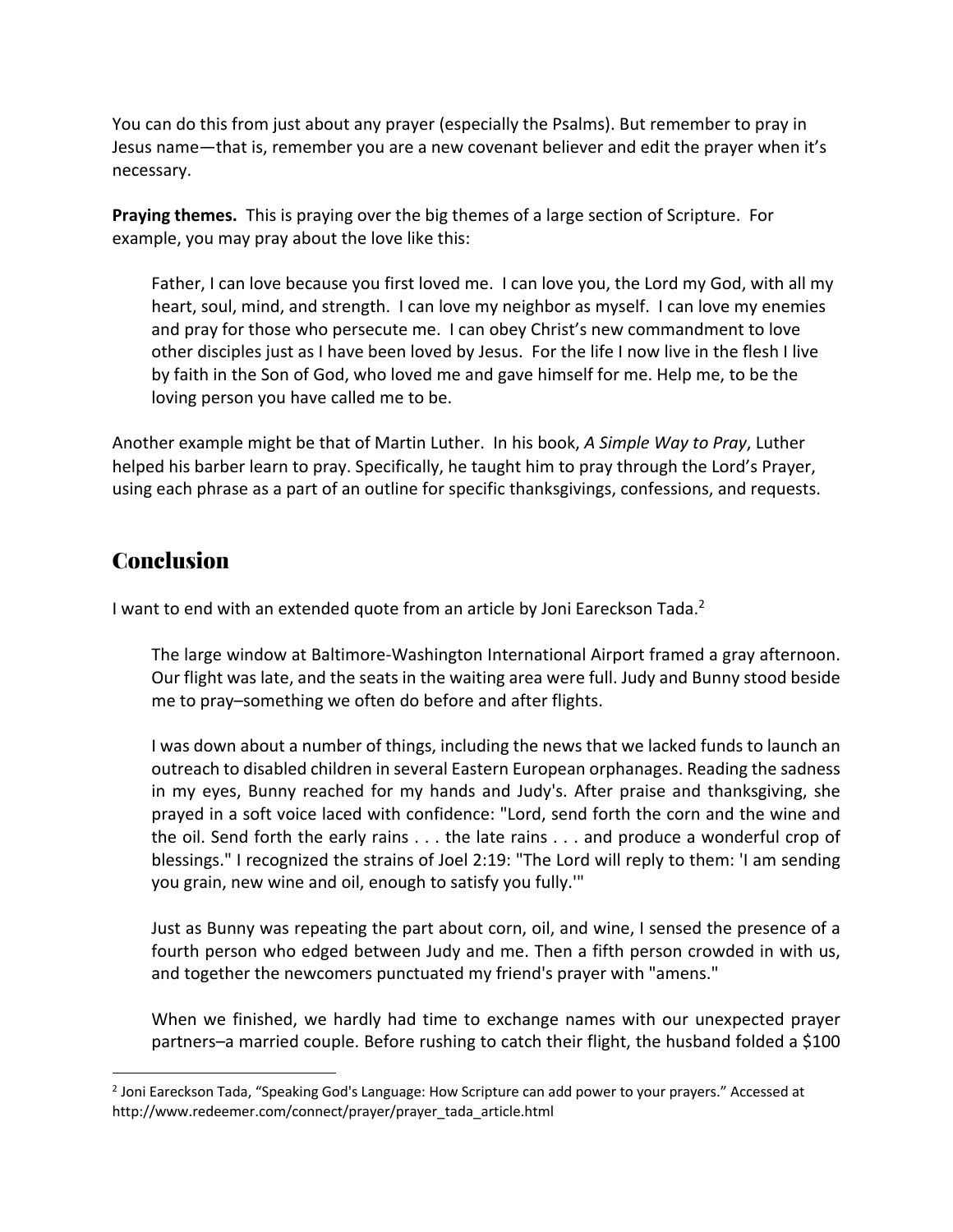You can do this from just about any prayer (especially the Psalms). But remember to pray in Jesus name—that is, remember you are a new covenant believer and edit the prayer when it's necessary.

**Praying themes.** This is praying over the big themes of a large section of Scripture. For example, you may pray about the love like this:

Father, I can love because you first loved me. I can love you, the Lord my God, with all my heart, soul, mind, and strength. I can love my neighbor as myself. I can love my enemies and pray for those who persecute me. I can obey Christ's new commandment to love other disciples just as I have been loved by Jesus. For the life I now live in the flesh I live by faith in the Son of God, who loved me and gave himself for me. Help me, to be the loving person you have called me to be.

Another example might be that of Martin Luther. In his book, *A Simple Way to Pray*, Luther helped his barber learn to pray. Specifically, he taught him to pray through the Lord's Prayer, using each phrase as a part of an outline for specific thanksgivings, confessions, and requests.

### **Conclusion**

I want to end with an extended quote from an article by Joni Eareckson Tada.<sup>2</sup>

The large window at Baltimore-Washington International Airport framed a gray afternoon. Our flight was late, and the seats in the waiting area were full. Judy and Bunny stood beside me to pray–something we often do before and after flights.

I was down about a number of things, including the news that we lacked funds to launch an outreach to disabled children in several Eastern European orphanages. Reading the sadness in my eyes, Bunny reached for my hands and Judy's. After praise and thanksgiving, she prayed in a soft voice laced with confidence: "Lord, send forth the corn and the wine and the oil. Send forth the early rains . . . the late rains . . . and produce a wonderful crop of blessings." I recognized the strains of Joel 2:19: "The Lord will reply to them: 'I am sending you grain, new wine and oil, enough to satisfy you fully.'"

Just as Bunny was repeating the part about corn, oil, and wine, I sensed the presence of a fourth person who edged between Judy and me. Then a fifth person crowded in with us, and together the newcomers punctuated my friend's prayer with "amens."

When we finished, we hardly had time to exchange names with our unexpected prayer partners–a married couple. Before rushing to catch their flight, the husband folded a \$100

 $<sup>2</sup>$  Joni Eareckson Tada, "Speaking God's Language: How Scripture can add power to your prayers." Accessed at</sup> http://www.redeemer.com/connect/prayer/prayer\_tada\_article.html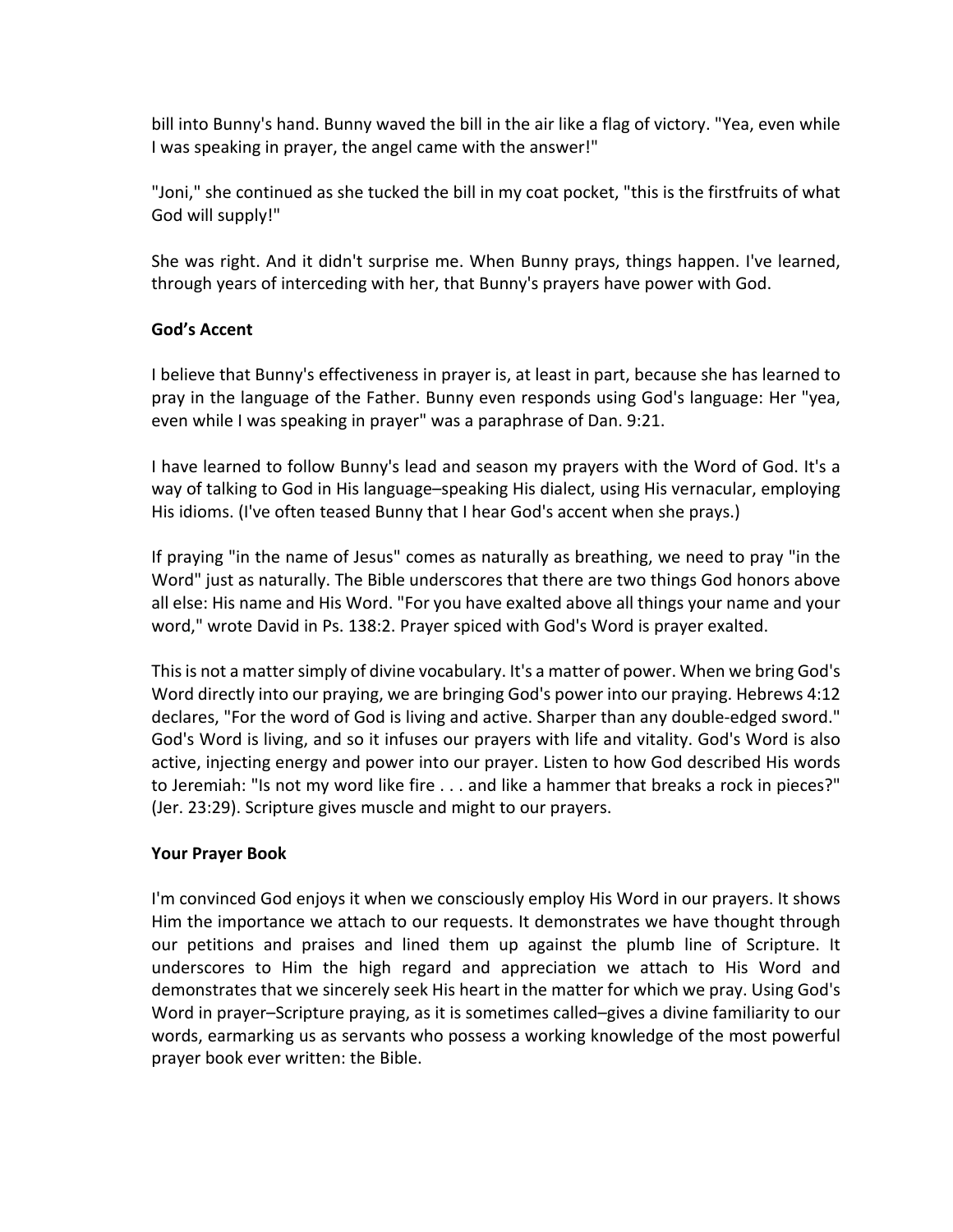bill into Bunny's hand. Bunny waved the bill in the air like a flag of victory. "Yea, even while I was speaking in prayer, the angel came with the answer!"

"Joni," she continued as she tucked the bill in my coat pocket, "this is the firstfruits of what God will supply!"

She was right. And it didn't surprise me. When Bunny prays, things happen. I've learned, through years of interceding with her, that Bunny's prayers have power with God.

#### **God's Accent**

I believe that Bunny's effectiveness in prayer is, at least in part, because she has learned to pray in the language of the Father. Bunny even responds using God's language: Her "yea, even while I was speaking in prayer" was a paraphrase of Dan. 9:21.

I have learned to follow Bunny's lead and season my prayers with the Word of God. It's a way of talking to God in His language–speaking His dialect, using His vernacular, employing His idioms. (I've often teased Bunny that I hear God's accent when she prays.)

If praying "in the name of Jesus" comes as naturally as breathing, we need to pray "in the Word" just as naturally. The Bible underscores that there are two things God honors above all else: His name and His Word. "For you have exalted above all things your name and your word," wrote David in Ps. 138:2. Prayer spiced with God's Word is prayer exalted.

This is not a matter simply of divine vocabulary. It's a matter of power. When we bring God's Word directly into our praying, we are bringing God's power into our praying. Hebrews 4:12 declares, "For the word of God is living and active. Sharper than any double-edged sword." God's Word is living, and so it infuses our prayers with life and vitality. God's Word is also active, injecting energy and power into our prayer. Listen to how God described His words to Jeremiah: "Is not my word like fire . . . and like a hammer that breaks a rock in pieces?" (Jer. 23:29). Scripture gives muscle and might to our prayers.

#### **Your Prayer Book**

I'm convinced God enjoys it when we consciously employ His Word in our prayers. It shows Him the importance we attach to our requests. It demonstrates we have thought through our petitions and praises and lined them up against the plumb line of Scripture. It underscores to Him the high regard and appreciation we attach to His Word and demonstrates that we sincerely seek His heart in the matter for which we pray. Using God's Word in prayer–Scripture praying, as it is sometimes called–gives a divine familiarity to our words, earmarking us as servants who possess a working knowledge of the most powerful prayer book ever written: the Bible.